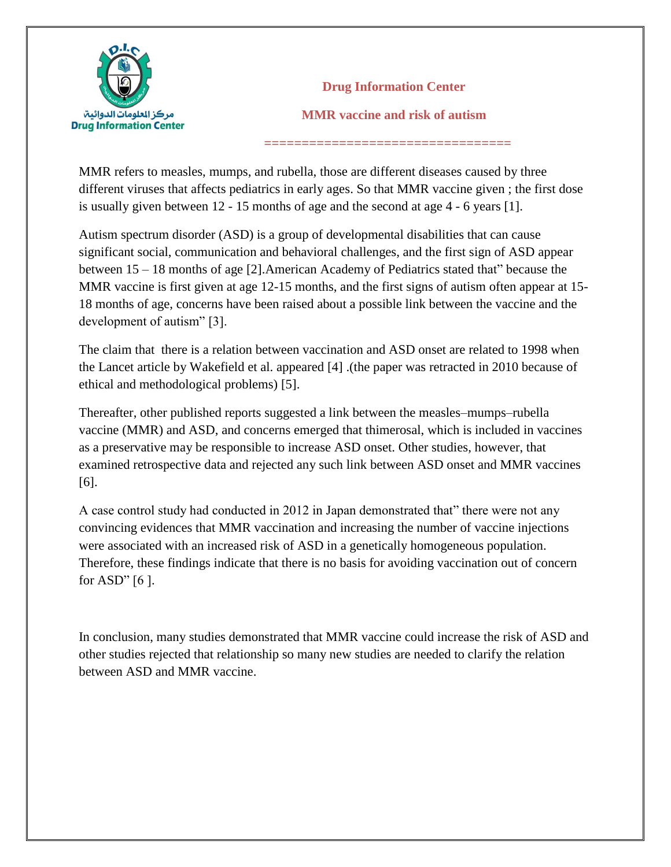

**Drug Information Center MMR vaccine and risk of autism**

MMR refers to measles, mumps, and rubella, those are different diseases caused by three different viruses that affects pediatrics in early ages. So that MMR vaccine given ; the first dose is usually given between 12 - 15 months of age and the second at age 4 - 6 years [1].

 **=================================**

Autism spectrum disorder (ASD) is a group of developmental disabilities that can cause significant social, communication and behavioral challenges, and the first sign of ASD appear between 15 – 18 months of age [2].American Academy of Pediatrics stated that" because the MMR vaccine is first given at age 12-15 months, and the first signs of autism often appear at 15- 18 months of age, concerns have been raised about a possible link between the vaccine and the development of autism" [3].

The claim that there is a relation between vaccination and ASD onset are related to 1998 when the Lancet article by Wakefield et al. appeared [4] .(the paper was retracted in 2010 because of ethical and methodological problems) [5].

Thereafter, other published reports suggested a link between the measles–mumps–rubella vaccine (MMR) and ASD, and concerns emerged that thimerosal, which is included in vaccines as a preservative may be responsible to increase ASD onset. Other studies, however, that examined retrospective data and rejected any such link between ASD onset and MMR vaccines [6].

A case control study had conducted in 2012 in Japan demonstrated that" there were not any convincing evidences that MMR vaccination and increasing the number of vaccine injections were associated with an increased risk of ASD in a genetically homogeneous population. Therefore, these findings indicate that there is no basis for avoiding vaccination out of concern for ASD"  $[6]$ .

In conclusion, many studies demonstrated that MMR vaccine could increase the risk of ASD and other studies rejected that relationship so many new studies are needed to clarify the relation between ASD and MMR vaccine.